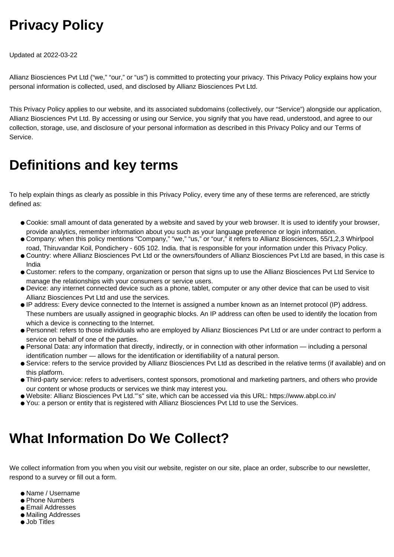## **Privacy Policy**

Updated at 2022-03-22

Allianz Biosciences Pvt Ltd ("we," "our," or "us") is committed to protecting your privacy. This Privacy Policy explains how your personal information is collected, used, and disclosed by Allianz Biosciences Pvt Ltd.

This Privacy Policy applies to our website, and its associated subdomains (collectively, our "Service") alongside our application, Allianz Biosciences Pvt Ltd. By accessing or using our Service, you signify that you have read, understood, and agree to our collection, storage, use, and disclosure of your personal information as described in this Privacy Policy and our Terms of Service.

## **Definitions and key terms**

To help explain things as clearly as possible in this Privacy Policy, every time any of these terms are referenced, are strictly defined as:

- Cookie: small amount of data generated by a website and saved by your web browser. It is used to identify your browser, provide analytics, remember information about you such as your language preference or login information.
- Company: when this policy mentions "Company," "we," "us," or "our," it refers to Allianz Biosciences, 55/1,2,3 Whirlpool road, Thiruvandar Koil, Pondichery - 605 102. India. that is responsible for your information under this Privacy Policy.
- Country: where Allianz Biosciences Pvt Ltd or the owners/founders of Allianz Biosciences Pvt Ltd are based, in this case is India
- Customer: refers to the company, organization or person that signs up to use the Allianz Biosciences Pvt Ltd Service to manage the relationships with your consumers or service users.
- Device: any internet connected device such as a phone, tablet, computer or any other device that can be used to visit Allianz Biosciences Pvt Ltd and use the services.
- IP address: Every device connected to the Internet is assigned a number known as an Internet protocol (IP) address. These numbers are usually assigned in geographic blocks. An IP address can often be used to identify the location from which a device is connecting to the Internet.
- Personnel: refers to those individuals who are employed by Allianz Biosciences Pvt Ltd or are under contract to perform a service on behalf of one of the parties.
- Personal Data: any information that directly, indirectly, or in connection with other information including a personal identification number — allows for the identification or identifiability of a natural person.
- Service: refers to the service provided by Allianz Biosciences Pvt Ltd as described in the relative terms (if available) and on this platform.
- Third-party service: refers to advertisers, contest sponsors, promotional and marketing partners, and others who provide our content or whose products or services we think may interest you.
- Website: Allianz Biosciences Pvt Ltd."'s" site, which can be accessed via this URL: https://www.abpl.co.in/
- You: a person or entity that is registered with Allianz Biosciences Pyt Ltd to use the Services.

## **What Information Do We Collect?**

We collect information from you when you visit our website, register on our site, place an order, subscribe to our newsletter, respond to a survey or fill out a form.

- Name / Username
- Phone Numbers
- Email Addresses
- Mailing Addresses
- Job Titles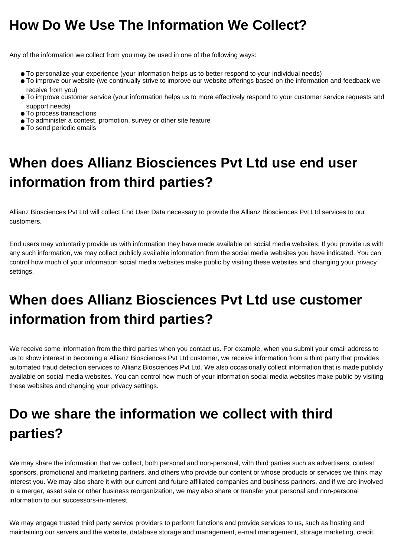## **How Do We Use The Information We Collect?**

Any of the information we collect from you may be used in one of the following ways:

- To personalize your experience (your information helps us to better respond to your individual needs)
- To improve our website (we continually strive to improve our website offerings based on the information and feedback we receive from you)
- To improve customer service (your information helps us to more effectively respond to your customer service requests and support needs)
- To process transactions
- To administer a contest, promotion, survey or other site feature
- To send periodic emails

# **When does Allianz Biosciences Pvt Ltd use end user information from third parties?**

Allianz Biosciences Pvt Ltd will collect End User Data necessary to provide the Allianz Biosciences Pvt Ltd services to our customers.

End users may voluntarily provide us with information they have made available on social media websites. If you provide us with any such information, we may collect publicly available information from the social media websites you have indicated. You can control how much of your information social media websites make public by visiting these websites and changing your privacy settings.

## **When does Allianz Biosciences Pvt Ltd use customer information from third parties?**

We receive some information from the third parties when you contact us. For example, when you submit your email address to us to show interest in becoming a Allianz Biosciences Pvt Ltd customer, we receive information from a third party that provides automated fraud detection services to Allianz Biosciences Pvt Ltd. We also occasionally collect information that is made publicly available on social media websites. You can control how much of your information social media websites make public by visiting these websites and changing your privacy settings.

# **Do we share the information we collect with third parties?**

We may share the information that we collect, both personal and non-personal, with third parties such as advertisers, contest sponsors, promotional and marketing partners, and others who provide our content or whose products or services we think may interest you. We may also share it with our current and future affiliated companies and business partners, and if we are involved in a merger, asset sale or other business reorganization, we may also share or transfer your personal and non-personal information to our successors-in-interest.

We may engage trusted third party service providers to perform functions and provide services to us, such as hosting and maintaining our servers and the website, database storage and management, e-mail management, storage marketing, credit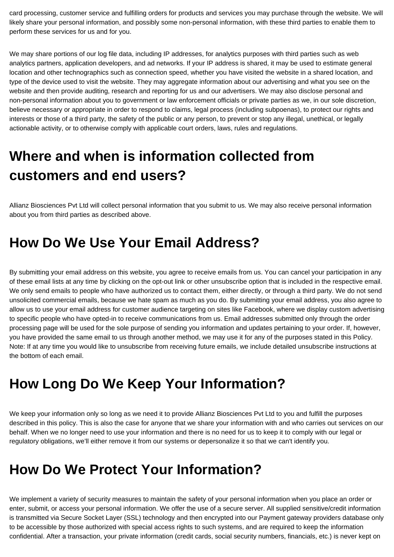card processing, customer service and fulfilling orders for products and services you may purchase through the website. We will likely share your personal information, and possibly some non-personal information, with these third parties to enable them to perform these services for us and for you.

We may share portions of our log file data, including IP addresses, for analytics purposes with third parties such as web analytics partners, application developers, and ad networks. If your IP address is shared, it may be used to estimate general location and other technographics such as connection speed, whether you have visited the website in a shared location, and type of the device used to visit the website. They may aggregate information about our advertising and what you see on the website and then provide auditing, research and reporting for us and our advertisers. We may also disclose personal and non-personal information about you to government or law enforcement officials or private parties as we, in our sole discretion, believe necessary or appropriate in order to respond to claims, legal process (including subpoenas), to protect our rights and interests or those of a third party, the safety of the public or any person, to prevent or stop any illegal, unethical, or legally actionable activity, or to otherwise comply with applicable court orders, laws, rules and regulations.

## **Where and when is information collected from customers and end users?**

Allianz Biosciences Pvt Ltd will collect personal information that you submit to us. We may also receive personal information about you from third parties as described above.

## **How Do We Use Your Email Address?**

By submitting your email address on this website, you agree to receive emails from us. You can cancel your participation in any of these email lists at any time by clicking on the opt-out link or other unsubscribe option that is included in the respective email. We only send emails to people who have authorized us to contact them, either directly, or through a third party. We do not send unsolicited commercial emails, because we hate spam as much as you do. By submitting your email address, you also agree to allow us to use your email address for customer audience targeting on sites like Facebook, where we display custom advertising to specific people who have opted-in to receive communications from us. Email addresses submitted only through the order processing page will be used for the sole purpose of sending you information and updates pertaining to your order. If, however, you have provided the same email to us through another method, we may use it for any of the purposes stated in this Policy. Note: If at any time you would like to unsubscribe from receiving future emails, we include detailed unsubscribe instructions at the bottom of each email.

## **How Long Do We Keep Your Information?**

We keep your information only so long as we need it to provide Allianz Biosciences Pvt Ltd to you and fulfill the purposes described in this policy. This is also the case for anyone that we share your information with and who carries out services on our behalf. When we no longer need to use your information and there is no need for us to keep it to comply with our legal or regulatory obligations, we'll either remove it from our systems or depersonalize it so that we can't identify you.

### **How Do We Protect Your Information?**

We implement a variety of security measures to maintain the safety of your personal information when you place an order or enter, submit, or access your personal information. We offer the use of a secure server. All supplied sensitive/credit information is transmitted via Secure Socket Layer (SSL) technology and then encrypted into our Payment gateway providers database only to be accessible by those authorized with special access rights to such systems, and are required to keep the information confidential. After a transaction, your private information (credit cards, social security numbers, financials, etc.) is never kept on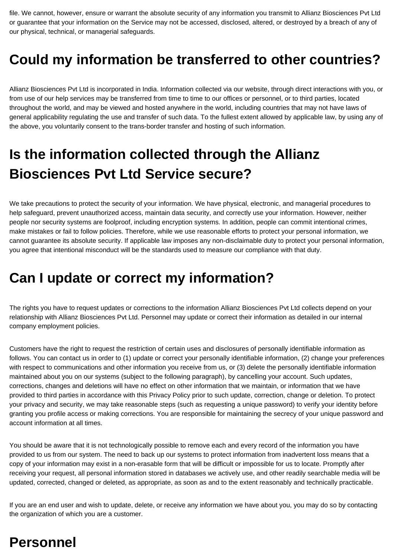file. We cannot, however, ensure or warrant the absolute security of any information you transmit to Allianz Biosciences Pvt Ltd or guarantee that your information on the Service may not be accessed, disclosed, altered, or destroyed by a breach of any of our physical, technical, or managerial safeguards.

### **Could my information be transferred to other countries?**

Allianz Biosciences Pvt Ltd is incorporated in India. Information collected via our website, through direct interactions with you, or from use of our help services may be transferred from time to time to our offices or personnel, or to third parties, located throughout the world, and may be viewed and hosted anywhere in the world, including countries that may not have laws of general applicability regulating the use and transfer of such data. To the fullest extent allowed by applicable law, by using any of the above, you voluntarily consent to the trans-border transfer and hosting of such information.

## **Is the information collected through the Allianz Biosciences Pvt Ltd Service secure?**

We take precautions to protect the security of your information. We have physical, electronic, and managerial procedures to help safeguard, prevent unauthorized access, maintain data security, and correctly use your information. However, neither people nor security systems are foolproof, including encryption systems. In addition, people can commit intentional crimes, make mistakes or fail to follow policies. Therefore, while we use reasonable efforts to protect your personal information, we cannot guarantee its absolute security. If applicable law imposes any non-disclaimable duty to protect your personal information, you agree that intentional misconduct will be the standards used to measure our compliance with that duty.

### **Can I update or correct my information?**

The rights you have to request updates or corrections to the information Allianz Biosciences Pvt Ltd collects depend on your relationship with Allianz Biosciences Pvt Ltd. Personnel may update or correct their information as detailed in our internal company employment policies.

Customers have the right to request the restriction of certain uses and disclosures of personally identifiable information as follows. You can contact us in order to (1) update or correct your personally identifiable information, (2) change your preferences with respect to communications and other information you receive from us, or (3) delete the personally identifiable information maintained about you on our systems (subject to the following paragraph), by cancelling your account. Such updates, corrections, changes and deletions will have no effect on other information that we maintain, or information that we have provided to third parties in accordance with this Privacy Policy prior to such update, correction, change or deletion. To protect your privacy and security, we may take reasonable steps (such as requesting a unique password) to verify your identity before granting you profile access or making corrections. You are responsible for maintaining the secrecy of your unique password and account information at all times.

You should be aware that it is not technologically possible to remove each and every record of the information you have provided to us from our system. The need to back up our systems to protect information from inadvertent loss means that a copy of your information may exist in a non-erasable form that will be difficult or impossible for us to locate. Promptly after receiving your request, all personal information stored in databases we actively use, and other readily searchable media will be updated, corrected, changed or deleted, as appropriate, as soon as and to the extent reasonably and technically practicable.

If you are an end user and wish to update, delete, or receive any information we have about you, you may do so by contacting the organization of which you are a customer.

#### **Personnel**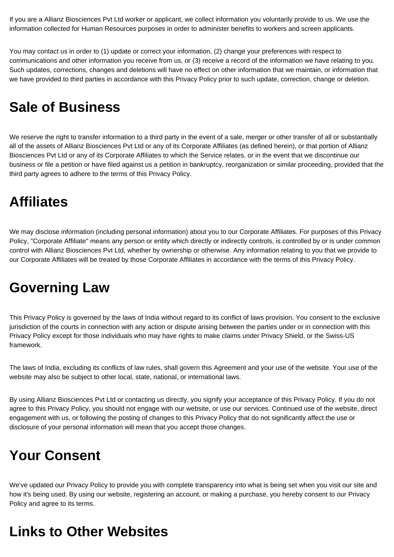If you are a Allianz Biosciences Pvt Ltd worker or applicant, we collect information you voluntarily provide to us. We use the information collected for Human Resources purposes in order to administer benefits to workers and screen applicants.

You may contact us in order to (1) update or correct your information, (2) change your preferences with respect to communications and other information you receive from us, or (3) receive a record of the information we have relating to you. Such updates, corrections, changes and deletions will have no effect on other information that we maintain, or information that we have provided to third parties in accordance with this Privacy Policy prior to such update, correction, change or deletion.

### **Sale of Business**

We reserve the right to transfer information to a third party in the event of a sale, merger or other transfer of all or substantially all of the assets of Allianz Biosciences Pvt Ltd or any of its Corporate Affiliates (as defined herein), or that portion of Allianz Biosciences Pvt Ltd or any of its Corporate Affiliates to which the Service relates, or in the event that we discontinue our business or file a petition or have filed against us a petition in bankruptcy, reorganization or similar proceeding, provided that the third party agrees to adhere to the terms of this Privacy Policy.

### **Affiliates**

We may disclose information (including personal information) about you to our Corporate Affiliates. For purposes of this Privacy Policy, "Corporate Affiliate" means any person or entity which directly or indirectly controls, is controlled by or is under common control with Allianz Biosciences Pvt Ltd, whether by ownership or otherwise. Any information relating to you that we provide to our Corporate Affiliates will be treated by those Corporate Affiliates in accordance with the terms of this Privacy Policy.

### **Governing Law**

This Privacy Policy is governed by the laws of India without regard to its conflict of laws provision. You consent to the exclusive jurisdiction of the courts in connection with any action or dispute arising between the parties under or in connection with this Privacy Policy except for those individuals who may have rights to make claims under Privacy Shield, or the Swiss-US framework.

The laws of India, excluding its conflicts of law rules, shall govern this Agreement and your use of the website. Your use of the website may also be subject to other local, state, national, or international laws.

By using Allianz Biosciences Pvt Ltd or contacting us directly, you signify your acceptance of this Privacy Policy. If you do not agree to this Privacy Policy, you should not engage with our website, or use our services. Continued use of the website, direct engagement with us, or following the posting of changes to this Privacy Policy that do not significantly affect the use or disclosure of your personal information will mean that you accept those changes.

## **Your Consent**

We've updated our Privacy Policy to provide you with complete transparency into what is being set when you visit our site and how it's being used. By using our website, registering an account, or making a purchase, you hereby consent to our Privacy Policy and agree to its terms.

## **Links to Other Websites**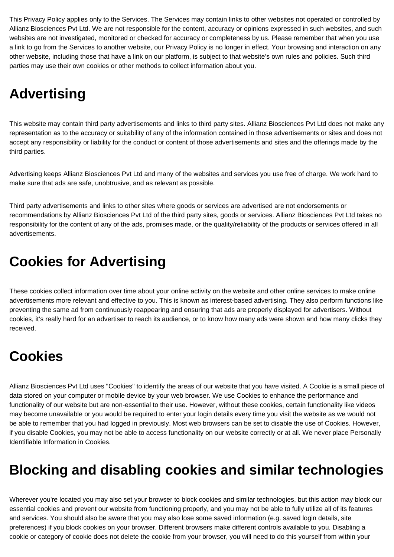This Privacy Policy applies only to the Services. The Services may contain links to other websites not operated or controlled by Allianz Biosciences Pvt Ltd. We are not responsible for the content, accuracy or opinions expressed in such websites, and such websites are not investigated, monitored or checked for accuracy or completeness by us. Please remember that when you use a link to go from the Services to another website, our Privacy Policy is no longer in effect. Your browsing and interaction on any other website, including those that have a link on our platform, is subject to that website's own rules and policies. Such third parties may use their own cookies or other methods to collect information about you.

# **Advertising**

This website may contain third party advertisements and links to third party sites. Allianz Biosciences Pvt Ltd does not make any representation as to the accuracy or suitability of any of the information contained in those advertisements or sites and does not accept any responsibility or liability for the conduct or content of those advertisements and sites and the offerings made by the third parties.

Advertising keeps Allianz Biosciences Pvt Ltd and many of the websites and services you use free of charge. We work hard to make sure that ads are safe, unobtrusive, and as relevant as possible.

Third party advertisements and links to other sites where goods or services are advertised are not endorsements or recommendations by Allianz Biosciences Pvt Ltd of the third party sites, goods or services. Allianz Biosciences Pvt Ltd takes no responsibility for the content of any of the ads, promises made, or the quality/reliability of the products or services offered in all advertisements.

### **Cookies for Advertising**

These cookies collect information over time about your online activity on the website and other online services to make online advertisements more relevant and effective to you. This is known as interest-based advertising. They also perform functions like preventing the same ad from continuously reappearing and ensuring that ads are properly displayed for advertisers. Without cookies, it's really hard for an advertiser to reach its audience, or to know how many ads were shown and how many clicks they received.

## **Cookies**

Allianz Biosciences Pvt Ltd uses "Cookies" to identify the areas of our website that you have visited. A Cookie is a small piece of data stored on your computer or mobile device by your web browser. We use Cookies to enhance the performance and functionality of our website but are non-essential to their use. However, without these cookies, certain functionality like videos may become unavailable or you would be required to enter your login details every time you visit the website as we would not be able to remember that you had logged in previously. Most web browsers can be set to disable the use of Cookies. However, if you disable Cookies, you may not be able to access functionality on our website correctly or at all. We never place Personally Identifiable Information in Cookies.

### **Blocking and disabling cookies and similar technologies**

Wherever you're located you may also set your browser to block cookies and similar technologies, but this action may block our essential cookies and prevent our website from functioning properly, and you may not be able to fully utilize all of its features and services. You should also be aware that you may also lose some saved information (e.g. saved login details, site preferences) if you block cookies on your browser. Different browsers make different controls available to you. Disabling a cookie or category of cookie does not delete the cookie from your browser, you will need to do this yourself from within your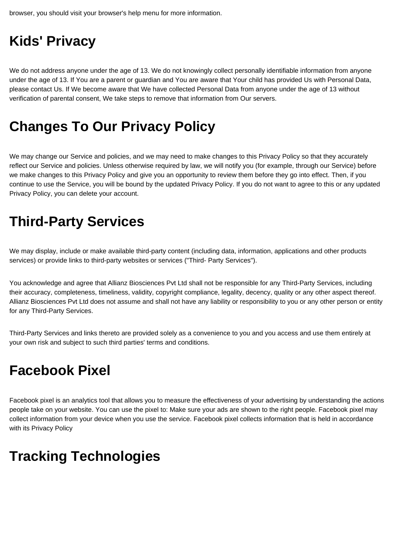browser, you should visit your browser's help menu for more information.

## **Kids' Privacy**

We do not address anyone under the age of 13. We do not knowingly collect personally identifiable information from anyone under the age of 13. If You are a parent or guardian and You are aware that Your child has provided Us with Personal Data, please contact Us. If We become aware that We have collected Personal Data from anyone under the age of 13 without verification of parental consent, We take steps to remove that information from Our servers.

## **Changes To Our Privacy Policy**

We may change our Service and policies, and we may need to make changes to this Privacy Policy so that they accurately reflect our Service and policies. Unless otherwise required by law, we will notify you (for example, through our Service) before we make changes to this Privacy Policy and give you an opportunity to review them before they go into effect. Then, if you continue to use the Service, you will be bound by the updated Privacy Policy. If you do not want to agree to this or any updated Privacy Policy, you can delete your account.

## **Third-Party Services**

We may display, include or make available third-party content (including data, information, applications and other products services) or provide links to third-party websites or services ("Third- Party Services").

You acknowledge and agree that Allianz Biosciences Pvt Ltd shall not be responsible for any Third-Party Services, including their accuracy, completeness, timeliness, validity, copyright compliance, legality, decency, quality or any other aspect thereof. Allianz Biosciences Pvt Ltd does not assume and shall not have any liability or responsibility to you or any other person or entity for any Third-Party Services.

Third-Party Services and links thereto are provided solely as a convenience to you and you access and use them entirely at your own risk and subject to such third parties' terms and conditions.

## **Facebook Pixel**

Facebook pixel is an analytics tool that allows you to measure the effectiveness of your advertising by understanding the actions people take on your website. You can use the pixel to: Make sure your ads are shown to the right people. Facebook pixel may collect information from your device when you use the service. Facebook pixel collects information that is held in accordance with its Privacy Policy

# **Tracking Technologies**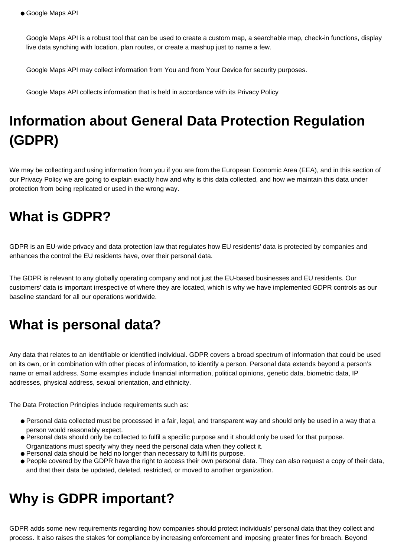Google Maps API is a robust tool that can be used to create a custom map, a searchable map, check-in functions, display live data synching with location, plan routes, or create a mashup just to name a few.

Google Maps API may collect information from You and from Your Device for security purposes.

Google Maps API collects information that is held in accordance with its Privacy Policy

# **Information about General Data Protection Regulation (GDPR)**

We may be collecting and using information from you if you are from the European Economic Area (EEA), and in this section of our Privacy Policy we are going to explain exactly how and why is this data collected, and how we maintain this data under protection from being replicated or used in the wrong way.

#### **What is GDPR?**

GDPR is an EU-wide privacy and data protection law that regulates how EU residents' data is protected by companies and enhances the control the EU residents have, over their personal data.

The GDPR is relevant to any globally operating company and not just the EU-based businesses and EU residents. Our customers' data is important irrespective of where they are located, which is why we have implemented GDPR controls as our baseline standard for all our operations worldwide.

### **What is personal data?**

Any data that relates to an identifiable or identified individual. GDPR covers a broad spectrum of information that could be used on its own, or in combination with other pieces of information, to identify a person. Personal data extends beyond a person's name or email address. Some examples include financial information, political opinions, genetic data, biometric data, IP addresses, physical address, sexual orientation, and ethnicity.

The Data Protection Principles include requirements such as:

- Personal data collected must be processed in a fair, legal, and transparent way and should only be used in a way that a person would reasonably expect.
- Personal data should only be collected to fulfil a specific purpose and it should only be used for that purpose. Organizations must specify why they need the personal data when they collect it.
- Personal data should be held no longer than necessary to fulfil its purpose.
- People covered by the GDPR have the right to access their own personal data. They can also request a copy of their data, and that their data be updated, deleted, restricted, or moved to another organization.

#### **Why is GDPR important?**

GDPR adds some new requirements regarding how companies should protect individuals' personal data that they collect and process. It also raises the stakes for compliance by increasing enforcement and imposing greater fines for breach. Beyond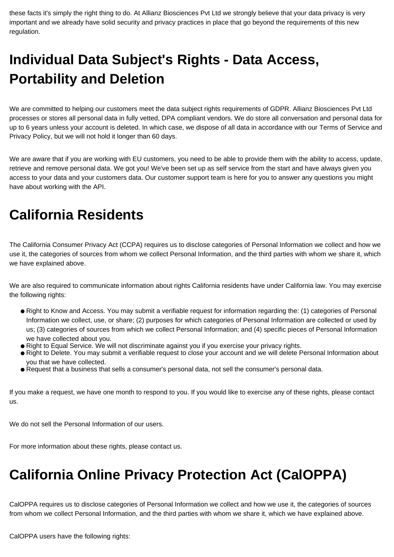these facts it's simply the right thing to do. At Allianz Biosciences Pvt Ltd we strongly believe that your data privacy is very important and we already have solid security and privacy practices in place that go beyond the requirements of this new regulation.

# **Individual Data Subject's Rights - Data Access, Portability and Deletion**

We are committed to helping our customers meet the data subject rights requirements of GDPR. Allianz Biosciences Pvt Ltd processes or stores all personal data in fully vetted, DPA compliant vendors. We do store all conversation and personal data for up to 6 years unless your account is deleted. In which case, we dispose of all data in accordance with our Terms of Service and Privacy Policy, but we will not hold it longer than 60 days.

We are aware that if you are working with EU customers, you need to be able to provide them with the ability to access, update, retrieve and remove personal data. We got you! We've been set up as self service from the start and have always given you access to your data and your customers data. Our customer support team is here for you to answer any questions you might have about working with the API.

#### **California Residents**

The California Consumer Privacy Act (CCPA) requires us to disclose categories of Personal Information we collect and how we use it, the categories of sources from whom we collect Personal Information, and the third parties with whom we share it, which we have explained above.

We are also required to communicate information about rights California residents have under California law. You may exercise the following rights:

- Right to Know and Access. You may submit a verifiable request for information regarding the: (1) categories of Personal Information we collect, use, or share; (2) purposes for which categories of Personal Information are collected or used by us; (3) categories of sources from which we collect Personal Information; and (4) specific pieces of Personal Information we have collected about you.
- Right to Equal Service. We will not discriminate against you if you exercise your privacy rights.
- Right to Delete. You may submit a verifiable request to close your account and we will delete Personal Information about you that we have collected.
- Request that a business that sells a consumer's personal data, not sell the consumer's personal data.

If you make a request, we have one month to respond to you. If you would like to exercise any of these rights, please contact us.

We do not sell the Personal Information of our users.

For more information about these rights, please contact us.

## **California Online Privacy Protection Act (CalOPPA)**

CalOPPA requires us to disclose categories of Personal Information we collect and how we use it, the categories of sources from whom we collect Personal Information, and the third parties with whom we share it, which we have explained above.